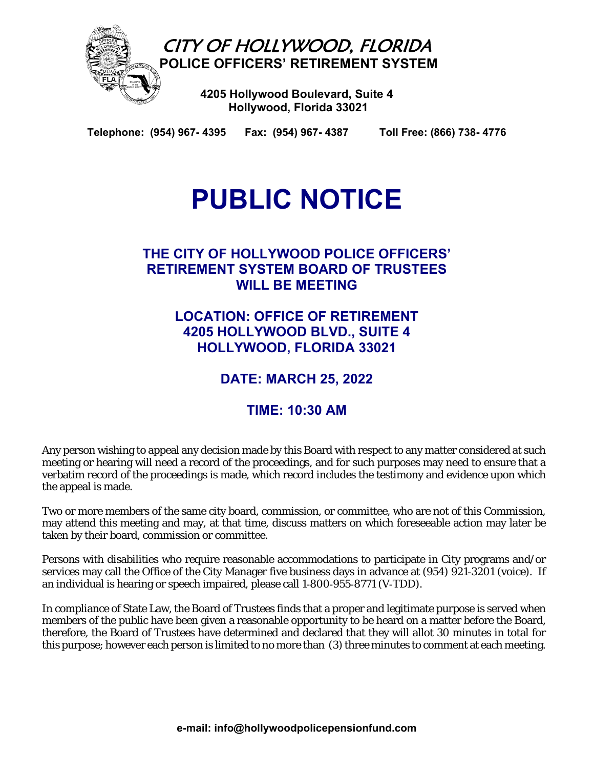

**Telephone: (954) 967- 4395 Fax: (954) 967- 4387 Toll Free: (866) 738- 4776** 

# **PUBLIC NOTICE**

## **THE CITY OF HOLLYWOOD POLICE OFFICERS' RETIREMENT SYSTEM BOARD OF TRUSTEES WILL BE MEETING**

**LOCATION: OFFICE OF RETIREMENT 4205 HOLLYWOOD BLVD., SUITE 4 HOLLYWOOD, FLORIDA 33021** 

# **DATE: MARCH 25, 2022**

# **TIME: 10:30 AM**

Any person wishing to appeal any decision made by this Board with respect to any matter considered at such meeting or hearing will need a record of the proceedings, and for such purposes may need to ensure that a verbatim record of the proceedings is made, which record includes the testimony and evidence upon which the appeal is made.

Two or more members of the same city board, commission, or committee, who are not of this Commission, may attend this meeting and may, at that time, discuss matters on which foreseeable action may later be taken by their board, commission or committee.

Persons with disabilities who require reasonable accommodations to participate in City programs and/or services may call the Office of the City Manager five business days in advance at (954) 921-3201 (voice). If an individual is hearing or speech impaired, please call 1‑800‑955‑8771 (V‑TDD).

In compliance of State Law, the Board of Trustees finds that a proper and legitimate purpose is served when members of the public have been given a reasonable opportunity to be heard on a matter before the Board, therefore, the Board of Trustees have determined and declared that they will allot 30 minutes in total for this purpose; however each person is limited to no more than (3) three minutes to comment at each meeting.